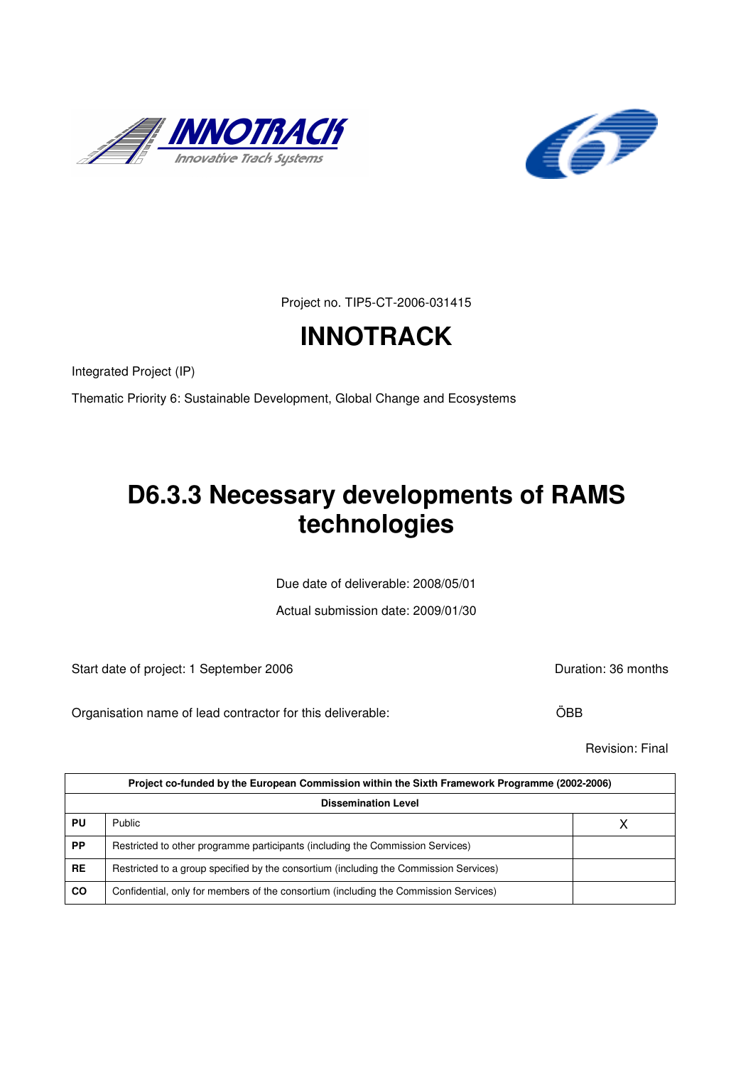



Project no. TIP5-CT-2006-031415

# **INNOTRACK**

Integrated Project (IP)

Thematic Priority 6: Sustainable Development, Global Change and Ecosystems

# **D6.3.3 Necessary developments of RAMS technologies**

Due date of deliverable: 2008/05/01

Actual submission date: 2009/01/30

Start date of project: 1 September 2006 **Duration: 36 months** 

Organisation name of lead contractor for this deliverable: ÖBB

Revision: Final

|                            | Project co-funded by the European Commission within the Sixth Framework Programme (2002-2006) |  |  |  |
|----------------------------|-----------------------------------------------------------------------------------------------|--|--|--|
| <b>Dissemination Level</b> |                                                                                               |  |  |  |
| PU                         | Public                                                                                        |  |  |  |
| <b>PP</b>                  | Restricted to other programme participants (including the Commission Services)                |  |  |  |
| <b>RE</b>                  | Restricted to a group specified by the consortium (including the Commission Services)         |  |  |  |
| CO                         | Confidential, only for members of the consortium (including the Commission Services)          |  |  |  |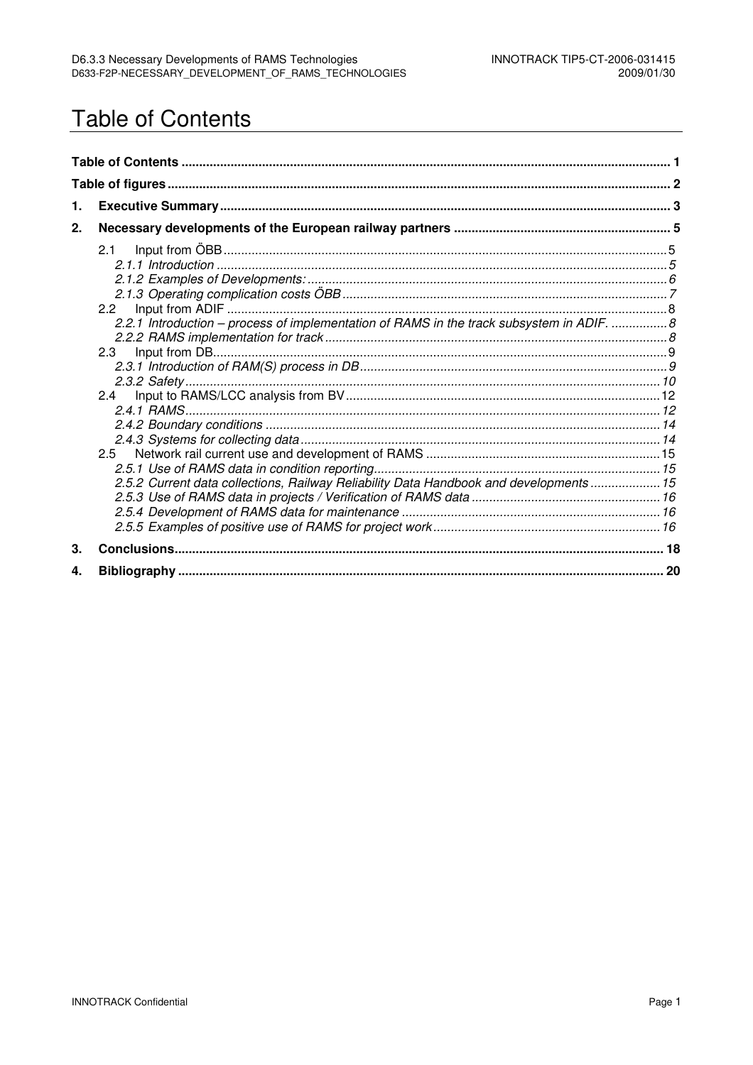## **Table of Contents**

| 1. |                                                                                                                                                                                                               |  |  |  |
|----|---------------------------------------------------------------------------------------------------------------------------------------------------------------------------------------------------------------|--|--|--|
| 2. |                                                                                                                                                                                                               |  |  |  |
|    | 2.1<br>2.2.1 Introduction - process of implementation of RAMS in the track subsystem in ADIF. 8<br>2.3<br>2.4<br>2.5<br>2.5.2 Current data collections, Railway Reliability Data Handbook and developments 15 |  |  |  |
| 3. |                                                                                                                                                                                                               |  |  |  |
| 4. |                                                                                                                                                                                                               |  |  |  |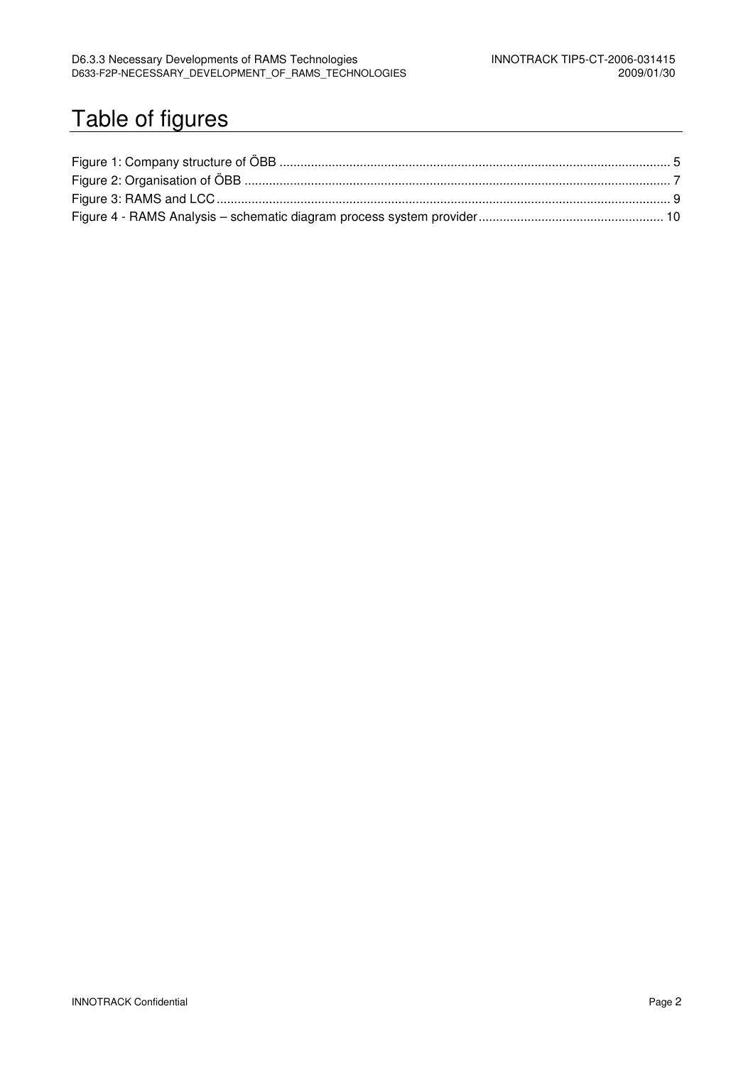# Table of figures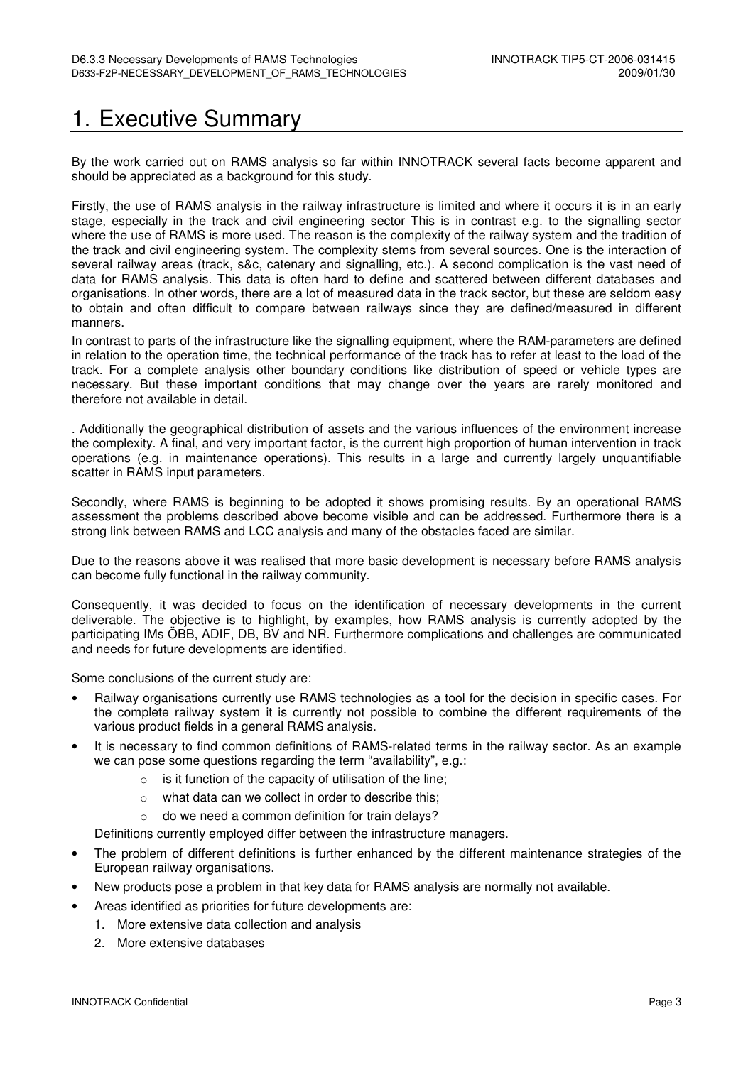## 1. Executive Summary

By the work carried out on RAMS analysis so far within INNOTRACK several facts become apparent and should be appreciated as a background for this study.

Firstly, the use of RAMS analysis in the railway infrastructure is limited and where it occurs it is in an early stage, especially in the track and civil engineering sector This is in contrast e.g. to the signalling sector where the use of RAMS is more used. The reason is the complexity of the railway system and the tradition of the track and civil engineering system. The complexity stems from several sources. One is the interaction of several railway areas (track, s&c, catenary and signalling, etc.). A second complication is the vast need of data for RAMS analysis. This data is often hard to define and scattered between different databases and organisations. In other words, there are a lot of measured data in the track sector, but these are seldom easy to obtain and often difficult to compare between railways since they are defined/measured in different manners.

In contrast to parts of the infrastructure like the signalling equipment, where the RAM-parameters are defined in relation to the operation time, the technical performance of the track has to refer at least to the load of the track. For a complete analysis other boundary conditions like distribution of speed or vehicle types are necessary. But these important conditions that may change over the years are rarely monitored and therefore not available in detail.

. Additionally the geographical distribution of assets and the various influences of the environment increase the complexity. A final, and very important factor, is the current high proportion of human intervention in track operations (e.g. in maintenance operations). This results in a large and currently largely unquantifiable scatter in RAMS input parameters.

Secondly, where RAMS is beginning to be adopted it shows promising results. By an operational RAMS assessment the problems described above become visible and can be addressed. Furthermore there is a strong link between RAMS and LCC analysis and many of the obstacles faced are similar.

Due to the reasons above it was realised that more basic development is necessary before RAMS analysis can become fully functional in the railway community.

Consequently, it was decided to focus on the identification of necessary developments in the current deliverable. The objective is to highlight, by examples, how RAMS analysis is currently adopted by the participating IMs ÖBB, ADIF, DB, BV and NR. Furthermore complications and challenges are communicated and needs for future developments are identified.

Some conclusions of the current study are:

- Railway organisations currently use RAMS technologies as a tool for the decision in specific cases. For the complete railway system it is currently not possible to combine the different requirements of the various product fields in a general RAMS analysis.
- It is necessary to find common definitions of RAMS-related terms in the railway sector. As an example we can pose some questions regarding the term "availability", e.g.:
	- o is it function of the capacity of utilisation of the line;
	- o what data can we collect in order to describe this;
	- do we need a common definition for train delays?

Definitions currently employed differ between the infrastructure managers.

- The problem of different definitions is further enhanced by the different maintenance strategies of the European railway organisations.
- New products pose a problem in that key data for RAMS analysis are normally not available.
	- Areas identified as priorities for future developments are:
	- 1. More extensive data collection and analysis
	- 2. More extensive databases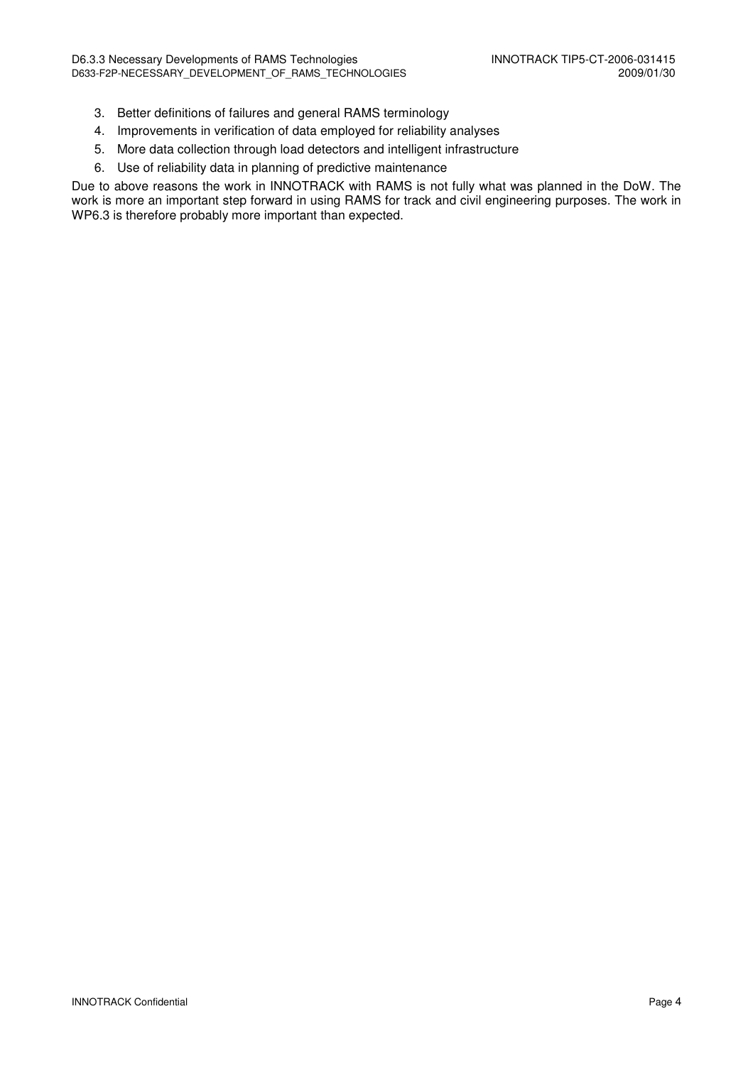- 3. Better definitions of failures and general RAMS terminology
- 4. Improvements in verification of data employed for reliability analyses
- 5. More data collection through load detectors and intelligent infrastructure
- 6. Use of reliability data in planning of predictive maintenance

Due to above reasons the work in INNOTRACK with RAMS is not fully what was planned in the DoW. The work is more an important step forward in using RAMS for track and civil engineering purposes. The work in WP6.3 is therefore probably more important than expected.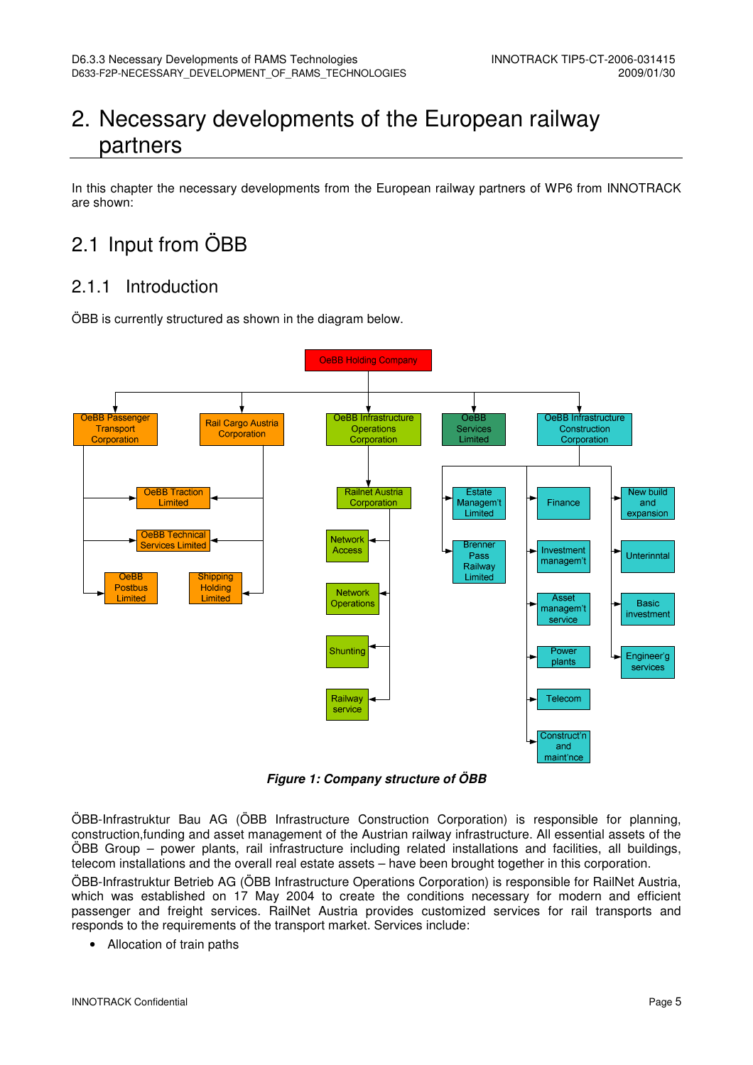## 2. Necessary developments of the European railway partners

In this chapter the necessary developments from the European railway partners of WP6 from INNOTRACK are shown:

## 2.1 Input from ÖBB

## 2.1.1 Introduction

ÖBB is currently structured as shown in the diagram below.



**Figure 1: Company structure of ÖBB** 

ÖBB-Infrastruktur Bau AG (ÖBB Infrastructure Construction Corporation) is responsible for planning, construction,funding and asset management of the Austrian railway infrastructure. All essential assets of the ÖBB Group – power plants, rail infrastructure including related installations and facilities, all buildings, telecom installations and the overall real estate assets – have been brought together in this corporation.

ÖBB-Infrastruktur Betrieb AG (ÖBB Infrastructure Operations Corporation) is responsible for RailNet Austria, which was established on 17 May 2004 to create the conditions necessary for modern and efficient passenger and freight services. RailNet Austria provides customized services for rail transports and responds to the requirements of the transport market. Services include:

• Allocation of train paths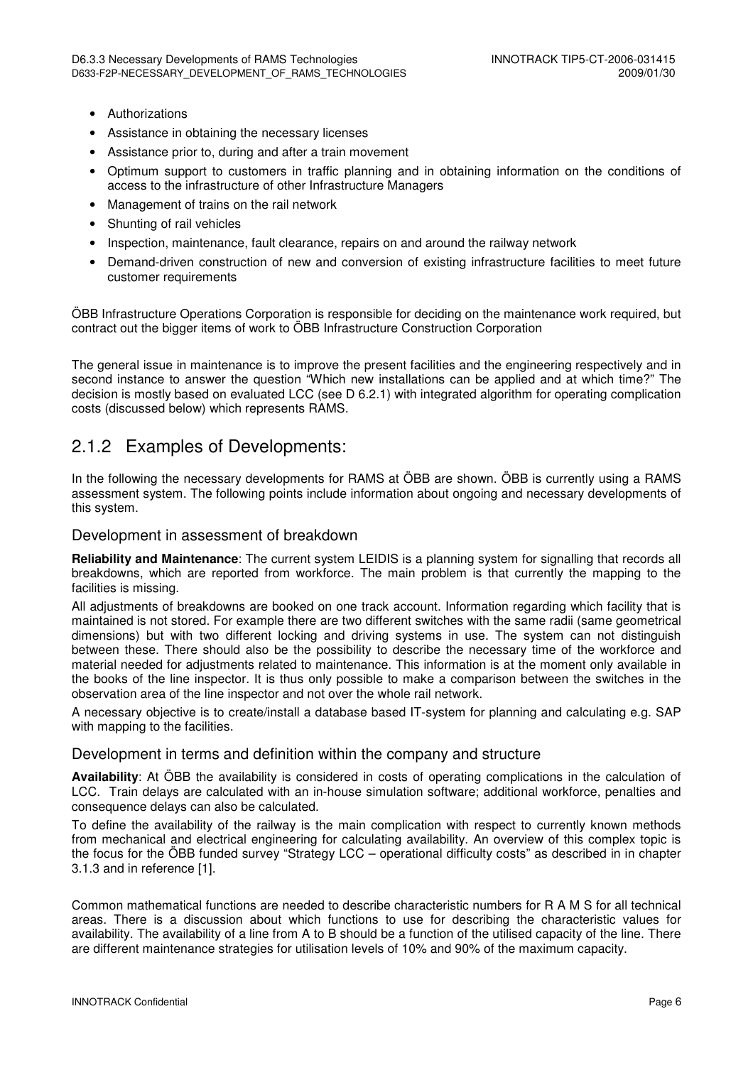- Authorizations
- Assistance in obtaining the necessary licenses
- Assistance prior to, during and after a train movement
- Optimum support to customers in traffic planning and in obtaining information on the conditions of access to the infrastructure of other Infrastructure Managers
- Management of trains on the rail network
- Shunting of rail vehicles
- Inspection, maintenance, fault clearance, repairs on and around the railway network
- Demand-driven construction of new and conversion of existing infrastructure facilities to meet future customer requirements

ÖBB Infrastructure Operations Corporation is responsible for deciding on the maintenance work required, but contract out the bigger items of work to ÖBB Infrastructure Construction Corporation

The general issue in maintenance is to improve the present facilities and the engineering respectively and in second instance to answer the question "Which new installations can be applied and at which time?" The decision is mostly based on evaluated LCC (see D 6.2.1) with integrated algorithm for operating complication costs (discussed below) which represents RAMS.

### 2.1.2 Examples of Developments:

In the following the necessary developments for RAMS at ÖBB are shown. ÖBB is currently using a RAMS assessment system. The following points include information about ongoing and necessary developments of this system.

#### Development in assessment of breakdown

**Reliability and Maintenance**: The current system LEIDIS is a planning system for signalling that records all breakdowns, which are reported from workforce. The main problem is that currently the mapping to the facilities is missing.

All adjustments of breakdowns are booked on one track account. Information regarding which facility that is maintained is not stored. For example there are two different switches with the same radii (same geometrical dimensions) but with two different locking and driving systems in use. The system can not distinguish between these. There should also be the possibility to describe the necessary time of the workforce and material needed for adjustments related to maintenance. This information is at the moment only available in the books of the line inspector. It is thus only possible to make a comparison between the switches in the observation area of the line inspector and not over the whole rail network.

A necessary objective is to create/install a database based IT-system for planning and calculating e.g. SAP with mapping to the facilities.

#### Development in terms and definition within the company and structure

**Availability**: At ÖBB the availability is considered in costs of operating complications in the calculation of LCC. Train delays are calculated with an in-house simulation software; additional workforce, penalties and consequence delays can also be calculated.

To define the availability of the railway is the main complication with respect to currently known methods from mechanical and electrical engineering for calculating availability. An overview of this complex topic is the focus for the ÖBB funded survey "Strategy LCC – operational difficulty costs" as described in in chapter 3.1.3 and in reference [1].

Common mathematical functions are needed to describe characteristic numbers for R A M S for all technical areas. There is a discussion about which functions to use for describing the characteristic values for availability. The availability of a line from A to B should be a function of the utilised capacity of the line. There are different maintenance strategies for utilisation levels of 10% and 90% of the maximum capacity.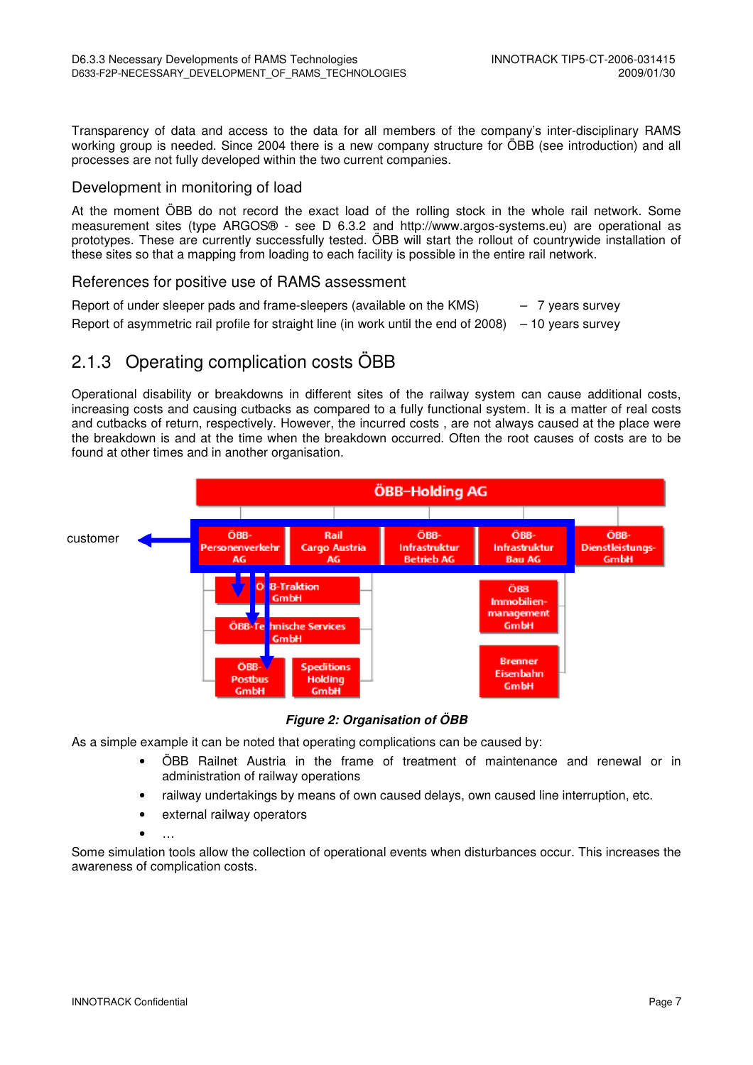Transparency of data and access to the data for all members of the company's inter-disciplinary RAMS working group is needed. Since 2004 there is a new company structure for ÖBB (see introduction) and all processes are not fully developed within the two current companies.

#### Development in monitoring of load

At the moment ÖBB do not record the exact load of the rolling stock in the whole rail network. Some measurement sites (type ARGOS® - see D 6.3.2 and http://www.argos-systems.eu) are operational as prototypes. These are currently successfully tested. ÖBB will start the rollout of countrywide installation of these sites so that a mapping from loading to each facility is possible in the entire rail network.

#### References for positive use of RAMS assessment

Report of under sleeper pads and frame-sleepers (available on the  $KMS$ )  $-7$  years survey Report of asymmetric rail profile for straight line (in work until the end of 2008)  $-10$  years survey

## 2.1.3 Operating complication costs ÖBB

Operational disability or breakdowns in different sites of the railway system can cause additional costs, increasing costs and causing cutbacks as compared to a fully functional system. It is a matter of real costs and cutbacks of return, respectively. However, the incurred costs , are not always caused at the place were the breakdown is and at the time when the breakdown occurred. Often the root causes of costs are to be found at other times and in another organisation.



**Figure 2: Organisation of ÖBB** 

As a simple example it can be noted that operating complications can be caused by:

- ÖBB Railnet Austria in the frame of treatment of maintenance and renewal or in administration of railway operations
- railway undertakings by means of own caused delays, own caused line interruption, etc.
- external railway operators
- …

Some simulation tools allow the collection of operational events when disturbances occur. This increases the awareness of complication costs.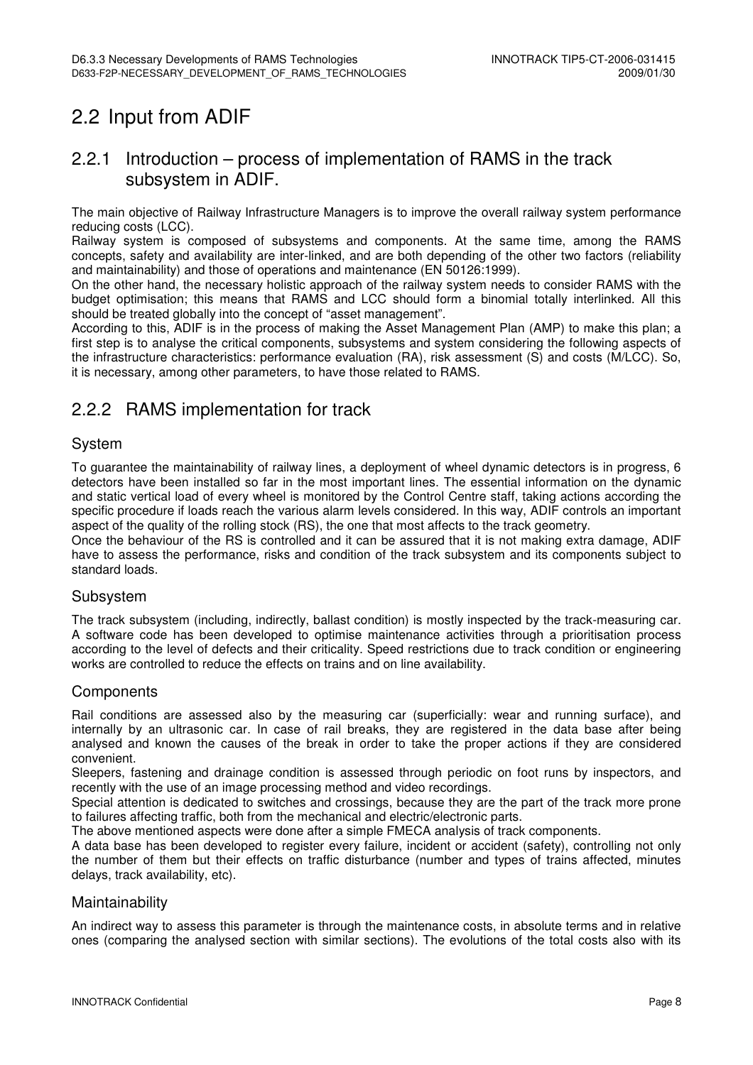## 2.2 Input from ADIF

### 2.2.1 Introduction – process of implementation of RAMS in the track subsystem in ADIF.

The main objective of Railway Infrastructure Managers is to improve the overall railway system performance reducing costs (LCC).

Railway system is composed of subsystems and components. At the same time, among the RAMS concepts, safety and availability are inter-linked, and are both depending of the other two factors (reliability and maintainability) and those of operations and maintenance (EN 50126:1999).

On the other hand, the necessary holistic approach of the railway system needs to consider RAMS with the budget optimisation; this means that RAMS and LCC should form a binomial totally interlinked. All this should be treated globally into the concept of "asset management".

According to this, ADIF is in the process of making the Asset Management Plan (AMP) to make this plan; a first step is to analyse the critical components, subsystems and system considering the following aspects of the infrastructure characteristics: performance evaluation (RA), risk assessment (S) and costs (M/LCC). So, it is necessary, among other parameters, to have those related to RAMS.

## 2.2.2 RAMS implementation for track

#### System

To guarantee the maintainability of railway lines, a deployment of wheel dynamic detectors is in progress, 6 detectors have been installed so far in the most important lines. The essential information on the dynamic and static vertical load of every wheel is monitored by the Control Centre staff, taking actions according the specific procedure if loads reach the various alarm levels considered. In this way, ADIF controls an important aspect of the quality of the rolling stock (RS), the one that most affects to the track geometry.

Once the behaviour of the RS is controlled and it can be assured that it is not making extra damage, ADIF have to assess the performance, risks and condition of the track subsystem and its components subject to standard loads.

#### Subsystem

The track subsystem (including, indirectly, ballast condition) is mostly inspected by the track-measuring car. A software code has been developed to optimise maintenance activities through a prioritisation process according to the level of defects and their criticality. Speed restrictions due to track condition or engineering works are controlled to reduce the effects on trains and on line availability.

#### **Components**

Rail conditions are assessed also by the measuring car (superficially: wear and running surface), and internally by an ultrasonic car. In case of rail breaks, they are registered in the data base after being analysed and known the causes of the break in order to take the proper actions if they are considered convenient.

Sleepers, fastening and drainage condition is assessed through periodic on foot runs by inspectors, and recently with the use of an image processing method and video recordings.

Special attention is dedicated to switches and crossings, because they are the part of the track more prone to failures affecting traffic, both from the mechanical and electric/electronic parts.

The above mentioned aspects were done after a simple FMECA analysis of track components.

A data base has been developed to register every failure, incident or accident (safety), controlling not only the number of them but their effects on traffic disturbance (number and types of trains affected, minutes delays, track availability, etc).

#### Maintainability

An indirect way to assess this parameter is through the maintenance costs, in absolute terms and in relative ones (comparing the analysed section with similar sections). The evolutions of the total costs also with its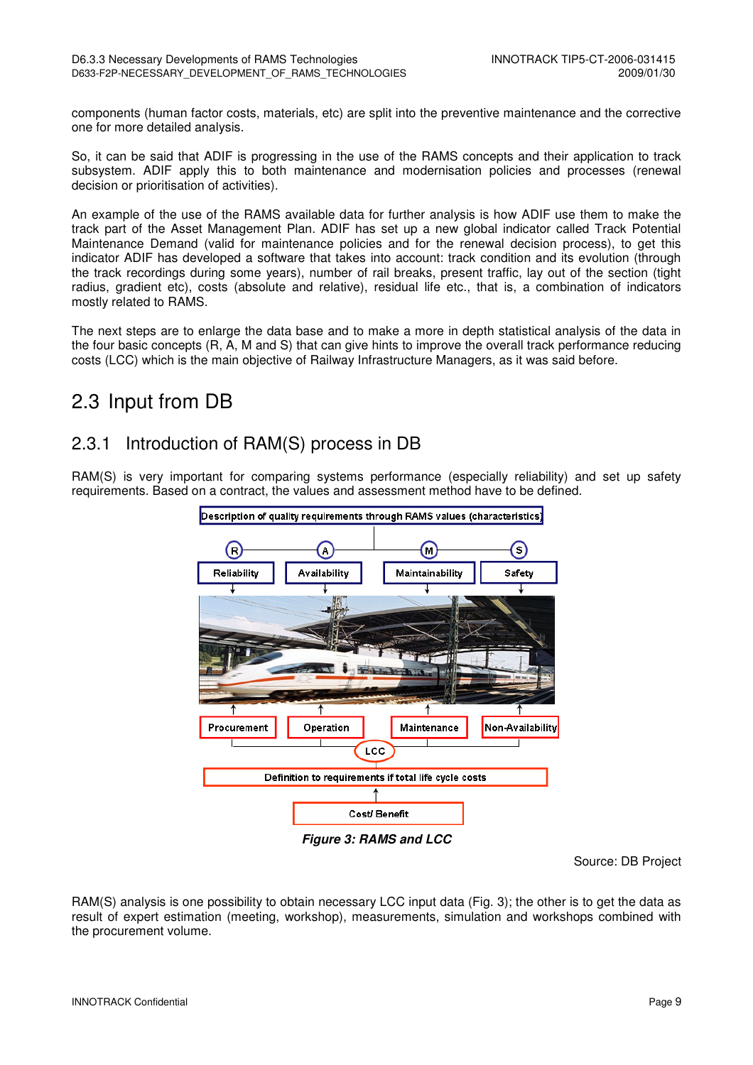components (human factor costs, materials, etc) are split into the preventive maintenance and the corrective one for more detailed analysis.

So, it can be said that ADIF is progressing in the use of the RAMS concepts and their application to track subsystem. ADIF apply this to both maintenance and modernisation policies and processes (renewal decision or prioritisation of activities).

An example of the use of the RAMS available data for further analysis is how ADIF use them to make the track part of the Asset Management Plan. ADIF has set up a new global indicator called Track Potential Maintenance Demand (valid for maintenance policies and for the renewal decision process), to get this indicator ADIF has developed a software that takes into account: track condition and its evolution (through the track recordings during some years), number of rail breaks, present traffic, lay out of the section (tight radius, gradient etc), costs (absolute and relative), residual life etc., that is, a combination of indicators mostly related to RAMS.

The next steps are to enlarge the data base and to make a more in depth statistical analysis of the data in the four basic concepts (R, A, M and S) that can give hints to improve the overall track performance reducing costs (LCC) which is the main objective of Railway Infrastructure Managers, as it was said before.

## 2.3 Input from DB

## 2.3.1 Introduction of RAM(S) process in DB

RAM(S) is very important for comparing systems performance (especially reliability) and set up safety requirements. Based on a contract, the values and assessment method have to be defined.



Source: DB Project

RAM(S) analysis is one possibility to obtain necessary LCC input data (Fig. 3); the other is to get the data as result of expert estimation (meeting, workshop), measurements, simulation and workshops combined with the procurement volume.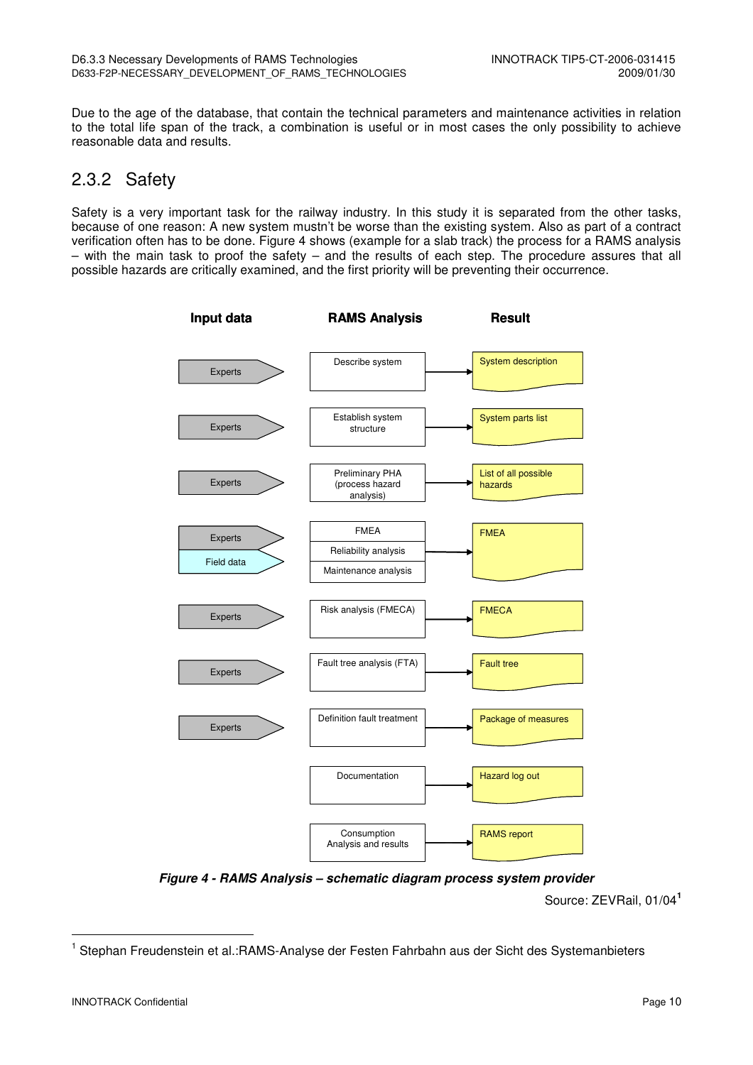Due to the age of the database, that contain the technical parameters and maintenance activities in relation to the total life span of the track, a combination is useful or in most cases the only possibility to achieve reasonable data and results.

### 2.3.2 Safety

Safety is a very important task for the railway industry. In this study it is separated from the other tasks, because of one reason: A new system mustn't be worse than the existing system. Also as part of a contract verification often has to be done. Figure 4 shows (example for a slab track) the process for a RAMS analysis – with the main task to proof the safety – and the results of each step. The procedure assures that all possible hazards are critically examined, and the first priority will be preventing their occurrence.



**Figure 4 - RAMS Analysis – schematic diagram process system provider**

Source: ZEVRail, 01/04**<sup>1</sup>**

l

<sup>&</sup>lt;sup>1</sup> Stephan Freudenstein et al.:RAMS-Analyse der Festen Fahrbahn aus der Sicht des Systemanbieters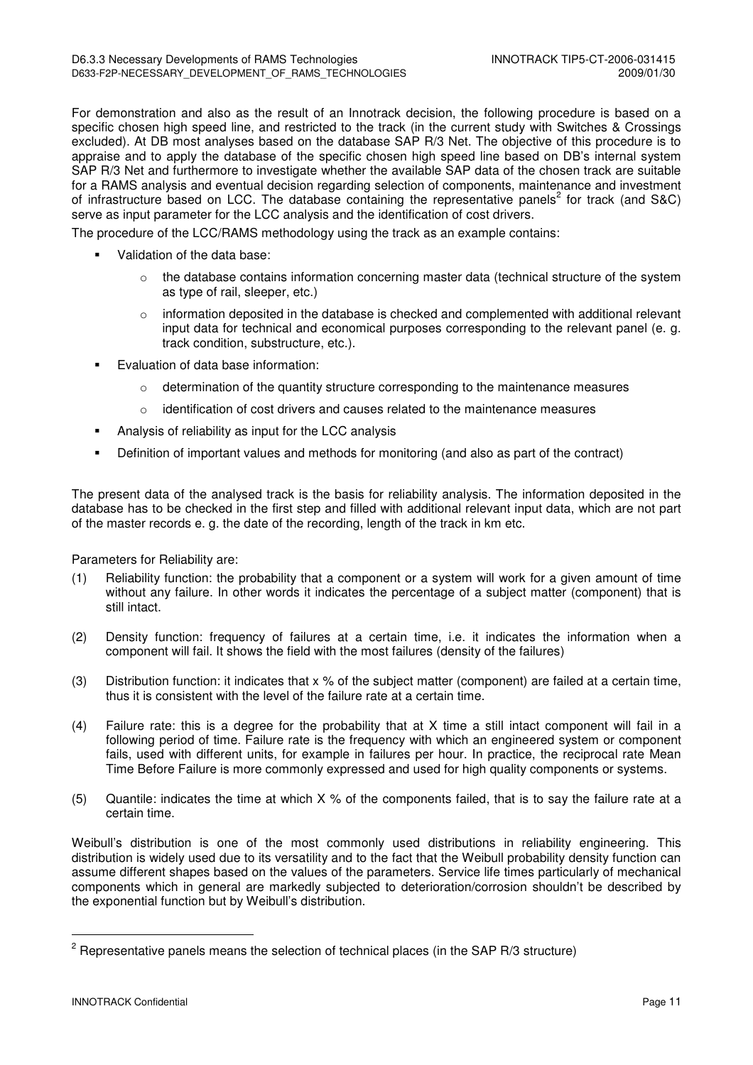For demonstration and also as the result of an Innotrack decision, the following procedure is based on a specific chosen high speed line, and restricted to the track (in the current study with Switches & Crossings excluded). At DB most analyses based on the database SAP R/3 Net. The objective of this procedure is to appraise and to apply the database of the specific chosen high speed line based on DB's internal system SAP R/3 Net and furthermore to investigate whether the available SAP data of the chosen track are suitable for a RAMS analysis and eventual decision regarding selection of components, maintenance and investment of infrastructure based on LCC. The database containing the representative panels<sup>2</sup> for track (and S&C) serve as input parameter for the LCC analysis and the identification of cost drivers.

The procedure of the LCC/RAMS methodology using the track as an example contains:

- Validation of the data base:
	- $\circ$  the database contains information concerning master data (technical structure of the system as type of rail, sleeper, etc.)
	- $\circ$  information deposited in the database is checked and complemented with additional relevant input data for technical and economical purposes corresponding to the relevant panel (e. g. track condition, substructure, etc.).
- Evaluation of data base information:
	- $\circ$  determination of the quantity structure corresponding to the maintenance measures
	- $\circ$  identification of cost drivers and causes related to the maintenance measures
- Analysis of reliability as input for the LCC analysis
- Definition of important values and methods for monitoring (and also as part of the contract)

The present data of the analysed track is the basis for reliability analysis. The information deposited in the database has to be checked in the first step and filled with additional relevant input data, which are not part of the master records e. g. the date of the recording, length of the track in km etc.

Parameters for Reliability are:

- (1) Reliability function: the probability that a component or a system will work for a given amount of time without any failure. In other words it indicates the percentage of a subject matter (component) that is still intact.
- (2) Density function: frequency of failures at a certain time, i.e. it indicates the information when a component will fail. It shows the field with the most failures (density of the failures)
- (3) Distribution function: it indicates that  $x \, \%$  of the subject matter (component) are failed at a certain time, thus it is consistent with the level of the failure rate at a certain time.
- (4) Failure rate: this is a degree for the probability that at X time a still intact component will fail in a following period of time. Failure rate is the frequency with which an engineered system or component fails, used with different units, for example in failures per hour. In practice, the reciprocal rate Mean Time Before Failure is more commonly expressed and used for high quality components or systems.
- (5) Quantile: indicates the time at which X % of the components failed, that is to say the failure rate at a certain time.

Weibull's distribution is one of the most commonly used distributions in reliability engineering. This distribution is widely used due to its versatility and to the fact that the Weibull probability density function can assume different shapes based on the values of the parameters. Service life times particularly of mechanical components which in general are markedly subjected to deterioration/corrosion shouldn't be described by the exponential function but by Weibull's distribution.

l

 $2$  Representative panels means the selection of technical places (in the SAP R/3 structure)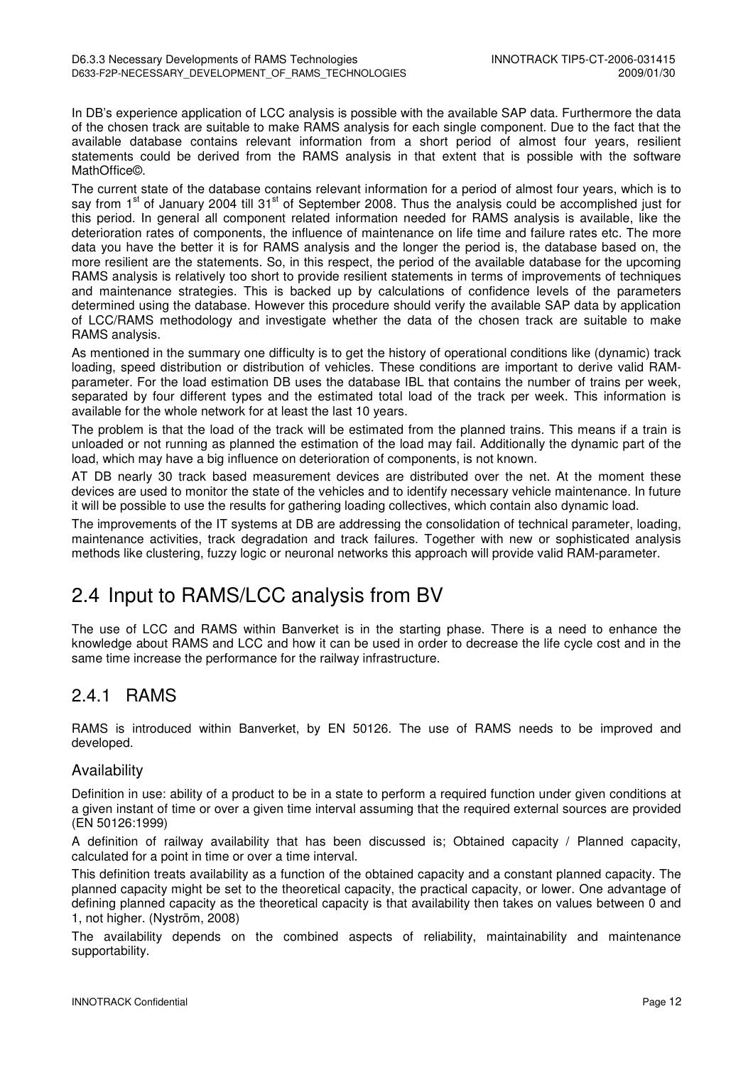In DB's experience application of LCC analysis is possible with the available SAP data. Furthermore the data of the chosen track are suitable to make RAMS analysis for each single component. Due to the fact that the available database contains relevant information from a short period of almost four years, resilient statements could be derived from the RAMS analysis in that extent that is possible with the software MathOffice©.

The current state of the database contains relevant information for a period of almost four years, which is to say from 1<sup>st</sup> of January 2004 till 31<sup>st</sup> of September 2008. Thus the analysis could be accomplished just for this period. In general all component related information needed for RAMS analysis is available, like the deterioration rates of components, the influence of maintenance on life time and failure rates etc. The more data you have the better it is for RAMS analysis and the longer the period is, the database based on, the more resilient are the statements. So, in this respect, the period of the available database for the upcoming RAMS analysis is relatively too short to provide resilient statements in terms of improvements of techniques and maintenance strategies. This is backed up by calculations of confidence levels of the parameters determined using the database. However this procedure should verify the available SAP data by application of LCC/RAMS methodology and investigate whether the data of the chosen track are suitable to make RAMS analysis.

As mentioned in the summary one difficulty is to get the history of operational conditions like (dynamic) track loading, speed distribution or distribution of vehicles. These conditions are important to derive valid RAMparameter. For the load estimation DB uses the database IBL that contains the number of trains per week, separated by four different types and the estimated total load of the track per week. This information is available for the whole network for at least the last 10 years.

The problem is that the load of the track will be estimated from the planned trains. This means if a train is unloaded or not running as planned the estimation of the load may fail. Additionally the dynamic part of the load, which may have a big influence on deterioration of components, is not known.

AT DB nearly 30 track based measurement devices are distributed over the net. At the moment these devices are used to monitor the state of the vehicles and to identify necessary vehicle maintenance. In future it will be possible to use the results for gathering loading collectives, which contain also dynamic load.

The improvements of the IT systems at DB are addressing the consolidation of technical parameter, loading, maintenance activities, track degradation and track failures. Together with new or sophisticated analysis methods like clustering, fuzzy logic or neuronal networks this approach will provide valid RAM-parameter.

## 2.4 Input to RAMS/LCC analysis from BV

The use of LCC and RAMS within Banverket is in the starting phase. There is a need to enhance the knowledge about RAMS and LCC and how it can be used in order to decrease the life cycle cost and in the same time increase the performance for the railway infrastructure.

## 2.4.1 RAMS

RAMS is introduced within Banverket, by EN 50126. The use of RAMS needs to be improved and developed.

#### Availability

Definition in use: ability of a product to be in a state to perform a required function under given conditions at a given instant of time or over a given time interval assuming that the required external sources are provided (EN 50126:1999)

A definition of railway availability that has been discussed is; Obtained capacity / Planned capacity, calculated for a point in time or over a time interval.

This definition treats availability as a function of the obtained capacity and a constant planned capacity. The planned capacity might be set to the theoretical capacity, the practical capacity, or lower. One advantage of defining planned capacity as the theoretical capacity is that availability then takes on values between 0 and 1, not higher. (Nyström, 2008)

The availability depends on the combined aspects of reliability, maintainability and maintenance supportability.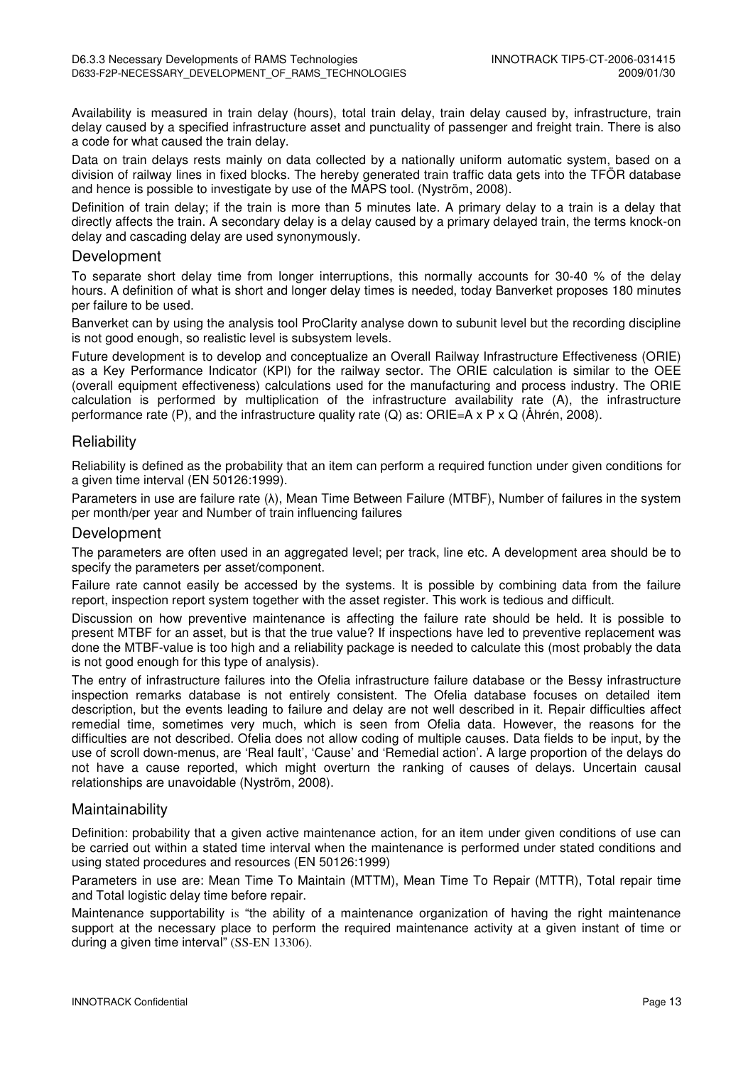Availability is measured in train delay (hours), total train delay, train delay caused by, infrastructure, train delay caused by a specified infrastructure asset and punctuality of passenger and freight train. There is also a code for what caused the train delay.

Data on train delays rests mainly on data collected by a nationally uniform automatic system, based on a division of railway lines in fixed blocks. The hereby generated train traffic data gets into the TFÖR database and hence is possible to investigate by use of the MAPS tool. (Nyström, 2008).

Definition of train delay; if the train is more than 5 minutes late. A primary delay to a train is a delay that directly affects the train. A secondary delay is a delay caused by a primary delayed train, the terms knock-on delay and cascading delay are used synonymously.

#### Development

To separate short delay time from longer interruptions, this normally accounts for 30-40 % of the delay hours. A definition of what is short and longer delay times is needed, today Banverket proposes 180 minutes per failure to be used.

Banverket can by using the analysis tool ProClarity analyse down to subunit level but the recording discipline is not good enough, so realistic level is subsystem levels.

Future development is to develop and conceptualize an Overall Railway Infrastructure Effectiveness (ORIE) as a Key Performance Indicator (KPI) for the railway sector. The ORIE calculation is similar to the OEE (overall equipment effectiveness) calculations used for the manufacturing and process industry. The ORIE calculation is performed by multiplication of the infrastructure availability rate (A), the infrastructure performance rate (P), and the infrastructure quality rate (Q) as: ORIE=A  $\times$  P  $\times$  Q (Åhrén, 2008).

#### **Reliability**

Reliability is defined as the probability that an item can perform a required function under given conditions for a given time interval (EN 50126:1999).

Parameters in use are failure rate (λ), Mean Time Between Failure (MTBF), Number of failures in the system per month/per year and Number of train influencing failures

#### Development

The parameters are often used in an aggregated level; per track, line etc. A development area should be to specify the parameters per asset/component.

Failure rate cannot easily be accessed by the systems. It is possible by combining data from the failure report, inspection report system together with the asset register. This work is tedious and difficult.

Discussion on how preventive maintenance is affecting the failure rate should be held. It is possible to present MTBF for an asset, but is that the true value? If inspections have led to preventive replacement was done the MTBF-value is too high and a reliability package is needed to calculate this (most probably the data is not good enough for this type of analysis).

The entry of infrastructure failures into the Ofelia infrastructure failure database or the Bessy infrastructure inspection remarks database is not entirely consistent. The Ofelia database focuses on detailed item description, but the events leading to failure and delay are not well described in it. Repair difficulties affect remedial time, sometimes very much, which is seen from Ofelia data. However, the reasons for the difficulties are not described. Ofelia does not allow coding of multiple causes. Data fields to be input, by the use of scroll down-menus, are 'Real fault', 'Cause' and 'Remedial action'. A large proportion of the delays do not have a cause reported, which might overturn the ranking of causes of delays. Uncertain causal relationships are unavoidable (Nyström, 2008).

#### Maintainability

Definition: probability that a given active maintenance action, for an item under given conditions of use can be carried out within a stated time interval when the maintenance is performed under stated conditions and using stated procedures and resources (EN 50126:1999)

Parameters in use are: Mean Time To Maintain (MTTM), Mean Time To Repair (MTTR), Total repair time and Total logistic delay time before repair.

Maintenance supportability is "the ability of a maintenance organization of having the right maintenance support at the necessary place to perform the required maintenance activity at a given instant of time or during a given time interval" (SS-EN 13306).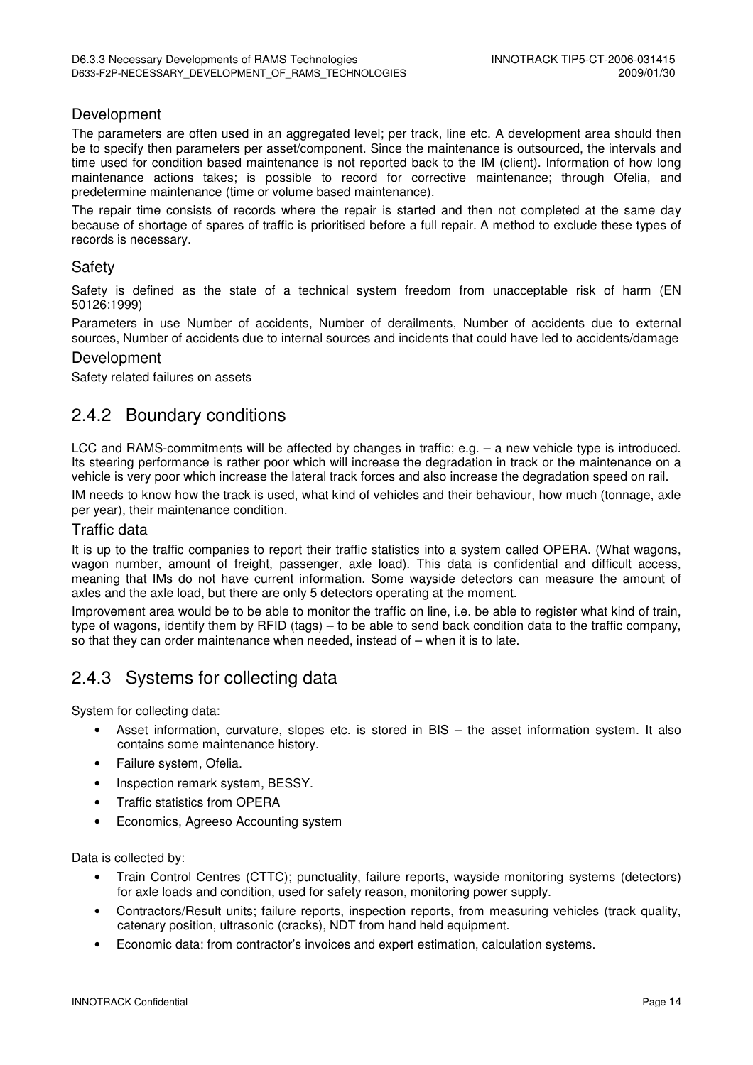#### Development

The parameters are often used in an aggregated level; per track, line etc. A development area should then be to specify then parameters per asset/component. Since the maintenance is outsourced, the intervals and time used for condition based maintenance is not reported back to the IM (client). Information of how long maintenance actions takes; is possible to record for corrective maintenance; through Ofelia, and predetermine maintenance (time or volume based maintenance).

The repair time consists of records where the repair is started and then not completed at the same day because of shortage of spares of traffic is prioritised before a full repair. A method to exclude these types of records is necessary.

#### Safety

Safety is defined as the state of a technical system freedom from unacceptable risk of harm (EN 50126:1999)

Parameters in use Number of accidents, Number of derailments, Number of accidents due to external sources, Number of accidents due to internal sources and incidents that could have led to accidents/damage

#### Development

Safety related failures on assets

### 2.4.2 Boundary conditions

LCC and RAMS-commitments will be affected by changes in traffic; e.g. - a new vehicle type is introduced. Its steering performance is rather poor which will increase the degradation in track or the maintenance on a vehicle is very poor which increase the lateral track forces and also increase the degradation speed on rail.

IM needs to know how the track is used, what kind of vehicles and their behaviour, how much (tonnage, axle per year), their maintenance condition.

#### Traffic data

It is up to the traffic companies to report their traffic statistics into a system called OPERA. (What wagons, wagon number, amount of freight, passenger, axle load). This data is confidential and difficult access, meaning that IMs do not have current information. Some wayside detectors can measure the amount of axles and the axle load, but there are only 5 detectors operating at the moment.

Improvement area would be to be able to monitor the traffic on line, i.e. be able to register what kind of train, type of wagons, identify them by RFID (tags) – to be able to send back condition data to the traffic company, so that they can order maintenance when needed, instead of – when it is to late.

### 2.4.3 Systems for collecting data

System for collecting data:

- Asset information, curvature, slopes etc. is stored in BIS the asset information system. It also contains some maintenance history.
- Failure system, Ofelia.
- Inspection remark system, BESSY.
- Traffic statistics from OPERA
- Economics, Agreeso Accounting system

Data is collected by:

- Train Control Centres (CTTC); punctuality, failure reports, wayside monitoring systems (detectors) for axle loads and condition, used for safety reason, monitoring power supply.
- Contractors/Result units; failure reports, inspection reports, from measuring vehicles (track quality, catenary position, ultrasonic (cracks), NDT from hand held equipment.
- Economic data: from contractor's invoices and expert estimation, calculation systems.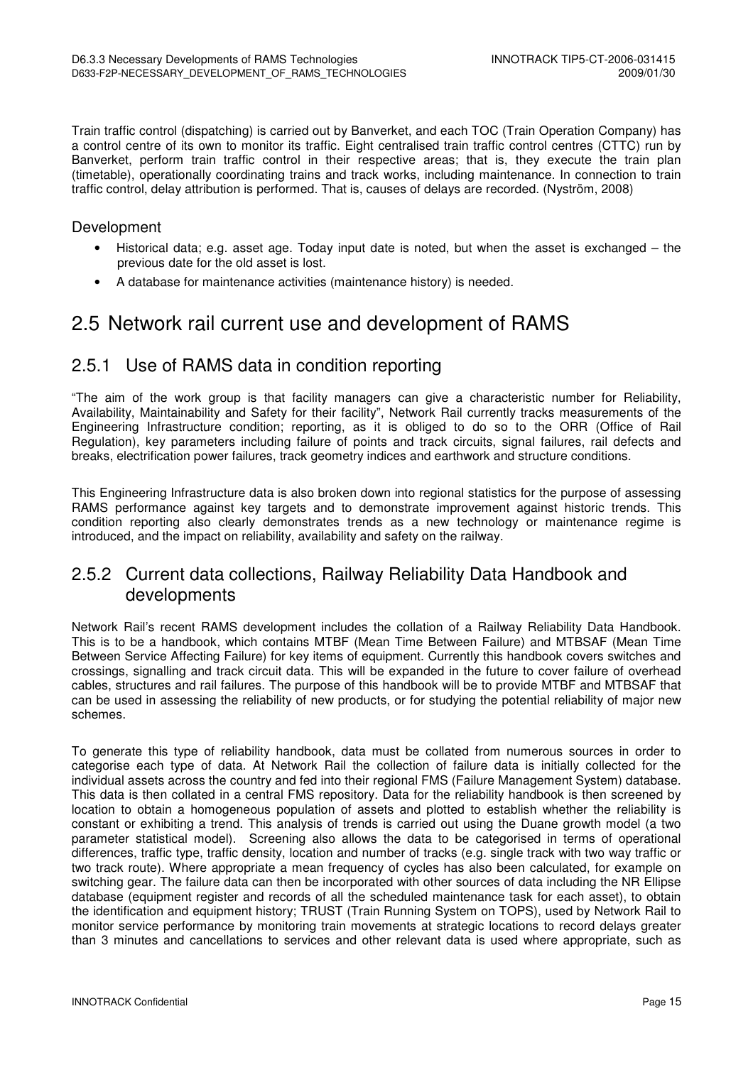Train traffic control (dispatching) is carried out by Banverket, and each TOC (Train Operation Company) has a control centre of its own to monitor its traffic. Eight centralised train traffic control centres (CTTC) run by Banverket, perform train traffic control in their respective areas; that is, they execute the train plan (timetable), operationally coordinating trains and track works, including maintenance. In connection to train traffic control, delay attribution is performed. That is, causes of delays are recorded. (Nyström, 2008)

#### Development

- Historical data; e.g. asset age. Today input date is noted, but when the asset is exchanged the previous date for the old asset is lost.
- A database for maintenance activities (maintenance history) is needed.

## 2.5 Network rail current use and development of RAMS

### 2.5.1 Use of RAMS data in condition reporting

"The aim of the work group is that facility managers can give a characteristic number for Reliability, Availability, Maintainability and Safety for their facility", Network Rail currently tracks measurements of the Engineering Infrastructure condition; reporting, as it is obliged to do so to the ORR (Office of Rail Regulation), key parameters including failure of points and track circuits, signal failures, rail defects and breaks, electrification power failures, track geometry indices and earthwork and structure conditions.

This Engineering Infrastructure data is also broken down into regional statistics for the purpose of assessing RAMS performance against key targets and to demonstrate improvement against historic trends. This condition reporting also clearly demonstrates trends as a new technology or maintenance regime is introduced, and the impact on reliability, availability and safety on the railway.

### 2.5.2 Current data collections, Railway Reliability Data Handbook and developments

Network Rail's recent RAMS development includes the collation of a Railway Reliability Data Handbook. This is to be a handbook, which contains MTBF (Mean Time Between Failure) and MTBSAF (Mean Time Between Service Affecting Failure) for key items of equipment. Currently this handbook covers switches and crossings, signalling and track circuit data. This will be expanded in the future to cover failure of overhead cables, structures and rail failures. The purpose of this handbook will be to provide MTBF and MTBSAF that can be used in assessing the reliability of new products, or for studying the potential reliability of major new schemes.

To generate this type of reliability handbook, data must be collated from numerous sources in order to categorise each type of data. At Network Rail the collection of failure data is initially collected for the individual assets across the country and fed into their regional FMS (Failure Management System) database. This data is then collated in a central FMS repository. Data for the reliability handbook is then screened by location to obtain a homogeneous population of assets and plotted to establish whether the reliability is constant or exhibiting a trend. This analysis of trends is carried out using the Duane growth model (a two parameter statistical model). Screening also allows the data to be categorised in terms of operational differences, traffic type, traffic density, location and number of tracks (e.g. single track with two way traffic or two track route). Where appropriate a mean frequency of cycles has also been calculated, for example on switching gear. The failure data can then be incorporated with other sources of data including the NR Ellipse database (equipment register and records of all the scheduled maintenance task for each asset), to obtain the identification and equipment history; TRUST (Train Running System on TOPS), used by Network Rail to monitor service performance by monitoring train movements at strategic locations to record delays greater than 3 minutes and cancellations to services and other relevant data is used where appropriate, such as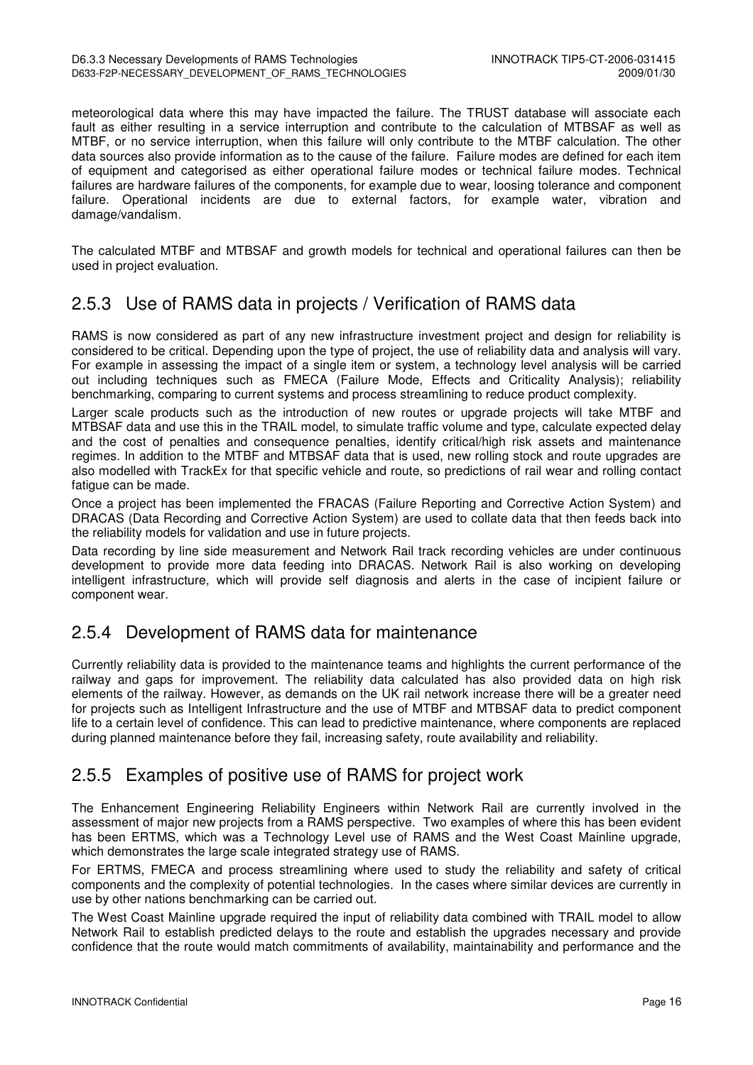meteorological data where this may have impacted the failure. The TRUST database will associate each fault as either resulting in a service interruption and contribute to the calculation of MTBSAF as well as MTBF, or no service interruption, when this failure will only contribute to the MTBF calculation. The other data sources also provide information as to the cause of the failure. Failure modes are defined for each item of equipment and categorised as either operational failure modes or technical failure modes. Technical failures are hardware failures of the components, for example due to wear, loosing tolerance and component failure. Operational incidents are due to external factors, for example water, vibration and damage/vandalism.

The calculated MTBF and MTBSAF and growth models for technical and operational failures can then be used in project evaluation.

## 2.5.3 Use of RAMS data in projects / Verification of RAMS data

RAMS is now considered as part of any new infrastructure investment project and design for reliability is considered to be critical. Depending upon the type of project, the use of reliability data and analysis will vary. For example in assessing the impact of a single item or system, a technology level analysis will be carried out including techniques such as FMECA (Failure Mode, Effects and Criticality Analysis); reliability benchmarking, comparing to current systems and process streamlining to reduce product complexity.

Larger scale products such as the introduction of new routes or upgrade projects will take MTBF and MTBSAF data and use this in the TRAIL model, to simulate traffic volume and type, calculate expected delay and the cost of penalties and consequence penalties, identify critical/high risk assets and maintenance regimes. In addition to the MTBF and MTBSAF data that is used, new rolling stock and route upgrades are also modelled with TrackEx for that specific vehicle and route, so predictions of rail wear and rolling contact fatique can be made.

Once a project has been implemented the FRACAS (Failure Reporting and Corrective Action System) and DRACAS (Data Recording and Corrective Action System) are used to collate data that then feeds back into the reliability models for validation and use in future projects.

Data recording by line side measurement and Network Rail track recording vehicles are under continuous development to provide more data feeding into DRACAS. Network Rail is also working on developing intelligent infrastructure, which will provide self diagnosis and alerts in the case of incipient failure or component wear.

## 2.5.4 Development of RAMS data for maintenance

Currently reliability data is provided to the maintenance teams and highlights the current performance of the railway and gaps for improvement. The reliability data calculated has also provided data on high risk elements of the railway. However, as demands on the UK rail network increase there will be a greater need for projects such as Intelligent Infrastructure and the use of MTBF and MTBSAF data to predict component life to a certain level of confidence. This can lead to predictive maintenance, where components are replaced during planned maintenance before they fail, increasing safety, route availability and reliability.

### 2.5.5 Examples of positive use of RAMS for project work

The Enhancement Engineering Reliability Engineers within Network Rail are currently involved in the assessment of major new projects from a RAMS perspective. Two examples of where this has been evident has been ERTMS, which was a Technology Level use of RAMS and the West Coast Mainline upgrade, which demonstrates the large scale integrated strategy use of RAMS.

For ERTMS, FMECA and process streamlining where used to study the reliability and safety of critical components and the complexity of potential technologies. In the cases where similar devices are currently in use by other nations benchmarking can be carried out.

The West Coast Mainline upgrade required the input of reliability data combined with TRAIL model to allow Network Rail to establish predicted delays to the route and establish the upgrades necessary and provide confidence that the route would match commitments of availability, maintainability and performance and the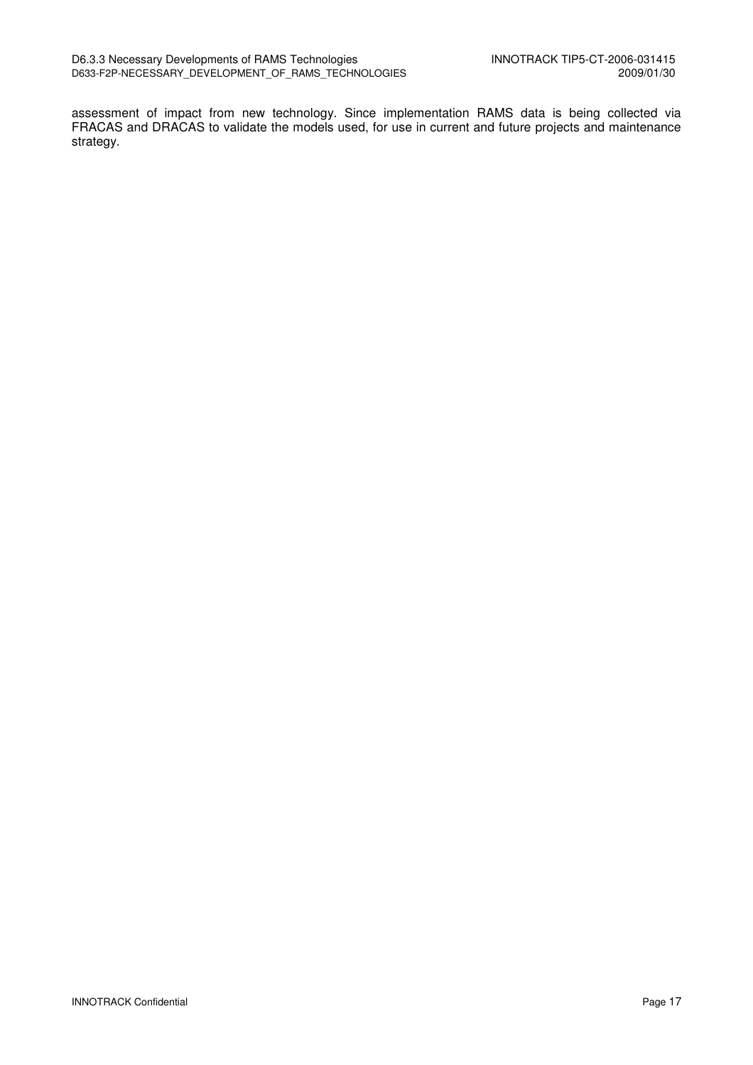assessment of impact from new technology. Since implementation RAMS data is being collected via FRACAS and DRACAS to validate the models used, for use in current and future projects and maintenance strategy.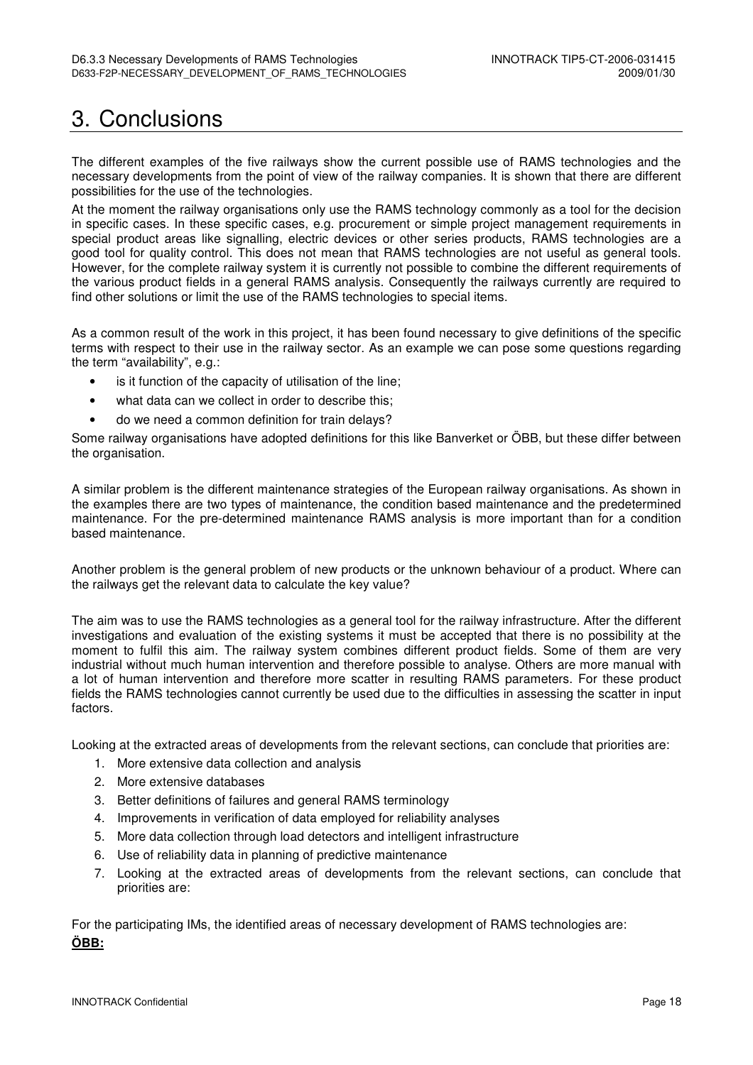## 3. Conclusions

The different examples of the five railways show the current possible use of RAMS technologies and the necessary developments from the point of view of the railway companies. It is shown that there are different possibilities for the use of the technologies.

At the moment the railway organisations only use the RAMS technology commonly as a tool for the decision in specific cases. In these specific cases, e.g. procurement or simple project management requirements in special product areas like signalling, electric devices or other series products, RAMS technologies are a good tool for quality control. This does not mean that RAMS technologies are not useful as general tools. However, for the complete railway system it is currently not possible to combine the different requirements of the various product fields in a general RAMS analysis. Consequently the railways currently are required to find other solutions or limit the use of the RAMS technologies to special items.

As a common result of the work in this project, it has been found necessary to give definitions of the specific terms with respect to their use in the railway sector. As an example we can pose some questions regarding the term "availability", e.g.:

- is it function of the capacity of utilisation of the line;
- what data can we collect in order to describe this:
- do we need a common definition for train delays?

Some railway organisations have adopted definitions for this like Banverket or ÖBB, but these differ between the organisation.

A similar problem is the different maintenance strategies of the European railway organisations. As shown in the examples there are two types of maintenance, the condition based maintenance and the predetermined maintenance. For the pre-determined maintenance RAMS analysis is more important than for a condition based maintenance.

Another problem is the general problem of new products or the unknown behaviour of a product. Where can the railways get the relevant data to calculate the key value?

The aim was to use the RAMS technologies as a general tool for the railway infrastructure. After the different investigations and evaluation of the existing systems it must be accepted that there is no possibility at the moment to fulfil this aim. The railway system combines different product fields. Some of them are very industrial without much human intervention and therefore possible to analyse. Others are more manual with a lot of human intervention and therefore more scatter in resulting RAMS parameters. For these product fields the RAMS technologies cannot currently be used due to the difficulties in assessing the scatter in input factors.

Looking at the extracted areas of developments from the relevant sections, can conclude that priorities are:

- 1. More extensive data collection and analysis
- 2. More extensive databases
- 3. Better definitions of failures and general RAMS terminology
- 4. Improvements in verification of data employed for reliability analyses
- 5. More data collection through load detectors and intelligent infrastructure
- 6. Use of reliability data in planning of predictive maintenance
- 7. Looking at the extracted areas of developments from the relevant sections, can conclude that priorities are:

For the participating IMs, the identified areas of necessary development of RAMS technologies are: **ÖBB:**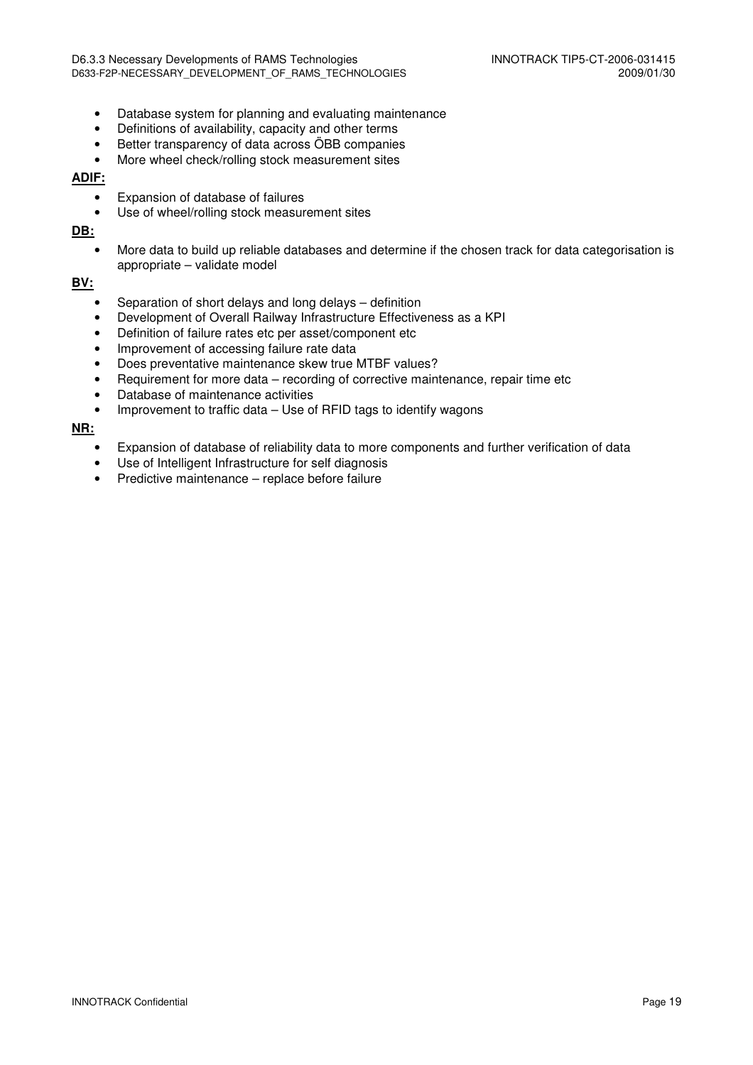- Database system for planning and evaluating maintenance
- Definitions of availability, capacity and other terms
- Better transparency of data across ÖBB companies
- More wheel check/rolling stock measurement sites

#### **ADIF:**

- Expansion of database of failures
- Use of wheel/rolling stock measurement sites

**DB:**

• More data to build up reliable databases and determine if the chosen track for data categorisation is appropriate – validate model

#### **BV:**

- Separation of short delays and long delays definition
- Development of Overall Railway Infrastructure Effectiveness as a KPI
- Definition of failure rates etc per asset/component etc
- Improvement of accessing failure rate data
- Does preventative maintenance skew true MTBF values?
- Requirement for more data recording of corrective maintenance, repair time etc
- Database of maintenance activities
- Improvement to traffic data Use of RFID tags to identify wagons

**NR:**

- Expansion of database of reliability data to more components and further verification of data
- Use of Intelligent Infrastructure for self diagnosis
- Predictive maintenance replace before failure